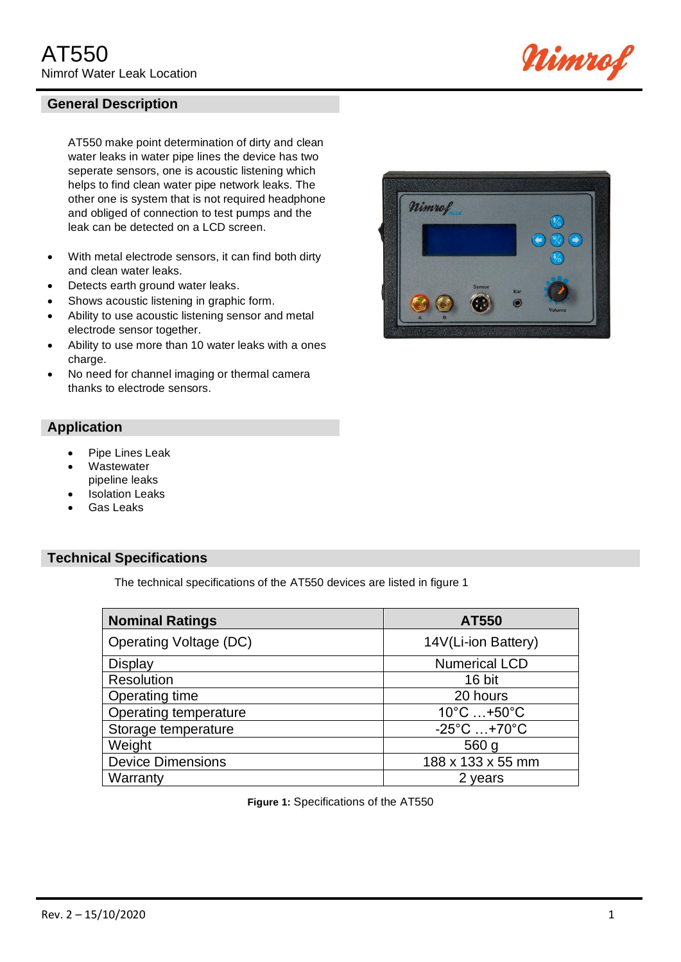

AT550 make point determination of dirty and clean water leaks in water pipe lines the device has two seperate sensors, one is acoustic listening which helps to find clean water pipe network leaks. The other one is system that is not required headphone and obliged of connection to test pumps and the leak can be detected on a LCD screen.

- With metal electrode sensors, it can find both dirty and clean water leaks.
- Detects earth ground water leaks.
- Shows acoustic listening in graphic form.
- Ability to use acoustic listening sensor and metal electrode sensor together.
- Ability to use more than 10 water leaks with a ones charge.
- No need for channel imaging or thermal camera thanks to electrode sensors.

# **Application**

- Pipe Lines Leak
- **Wastewater** pipeline leaks
- **Isolation Leaks**
- Gas Leaks

### **Technical Specifications**

The technical specifications of the AT550 devices are listed in figure 1

| <b>Nominal Ratings</b>        | AT550                            |
|-------------------------------|----------------------------------|
| <b>Operating Voltage (DC)</b> | 14V(Li-ion Battery)              |
| <b>Display</b>                | <b>Numerical LCD</b>             |
| Resolution                    | 16 bit                           |
| Operating time                | 20 hours                         |
| Operating temperature         | $10^{\circ}$ C  +50 $^{\circ}$ C |
| Storage temperature           | $-25^{\circ}$ C $+70^{\circ}$ C  |
| Weight                        | 560 g                            |
| <b>Device Dimensions</b>      | 188 x 133 x 55 mm                |
| Warranty                      | 2 years                          |

**Figure 1:** Specifications of the AT550